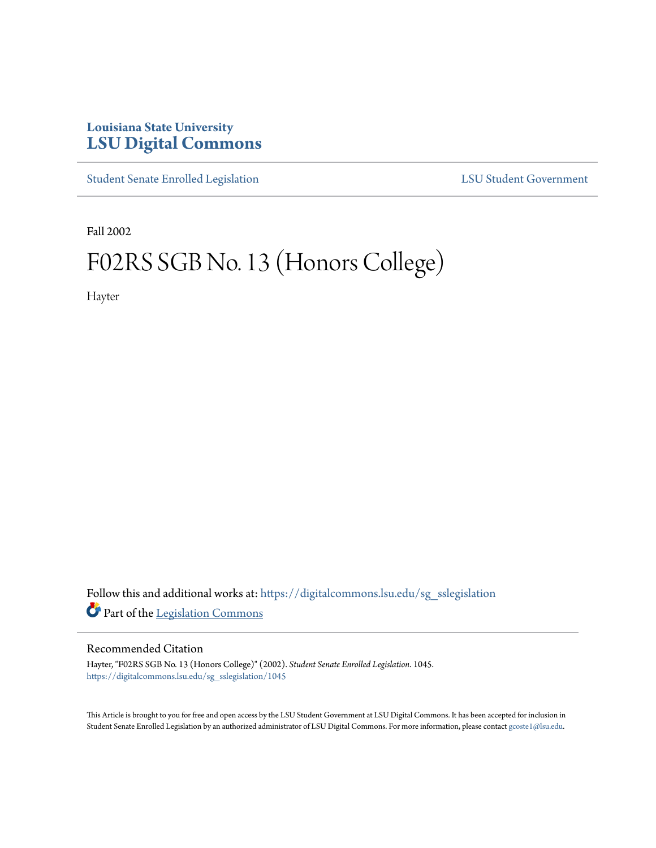# **Louisiana State University [LSU Digital Commons](https://digitalcommons.lsu.edu?utm_source=digitalcommons.lsu.edu%2Fsg_sslegislation%2F1045&utm_medium=PDF&utm_campaign=PDFCoverPages)**

[Student Senate Enrolled Legislation](https://digitalcommons.lsu.edu/sg_sslegislation?utm_source=digitalcommons.lsu.edu%2Fsg_sslegislation%2F1045&utm_medium=PDF&utm_campaign=PDFCoverPages) [LSU Student Government](https://digitalcommons.lsu.edu/sg?utm_source=digitalcommons.lsu.edu%2Fsg_sslegislation%2F1045&utm_medium=PDF&utm_campaign=PDFCoverPages)

Fall 2002

# F02RS SGB No. 13 (Honors College)

Hayter

Follow this and additional works at: [https://digitalcommons.lsu.edu/sg\\_sslegislation](https://digitalcommons.lsu.edu/sg_sslegislation?utm_source=digitalcommons.lsu.edu%2Fsg_sslegislation%2F1045&utm_medium=PDF&utm_campaign=PDFCoverPages) Part of the [Legislation Commons](http://network.bepress.com/hgg/discipline/859?utm_source=digitalcommons.lsu.edu%2Fsg_sslegislation%2F1045&utm_medium=PDF&utm_campaign=PDFCoverPages)

#### Recommended Citation

Hayter, "F02RS SGB No. 13 (Honors College)" (2002). *Student Senate Enrolled Legislation*. 1045. [https://digitalcommons.lsu.edu/sg\\_sslegislation/1045](https://digitalcommons.lsu.edu/sg_sslegislation/1045?utm_source=digitalcommons.lsu.edu%2Fsg_sslegislation%2F1045&utm_medium=PDF&utm_campaign=PDFCoverPages)

This Article is brought to you for free and open access by the LSU Student Government at LSU Digital Commons. It has been accepted for inclusion in Student Senate Enrolled Legislation by an authorized administrator of LSU Digital Commons. For more information, please contact [gcoste1@lsu.edu.](mailto:gcoste1@lsu.edu)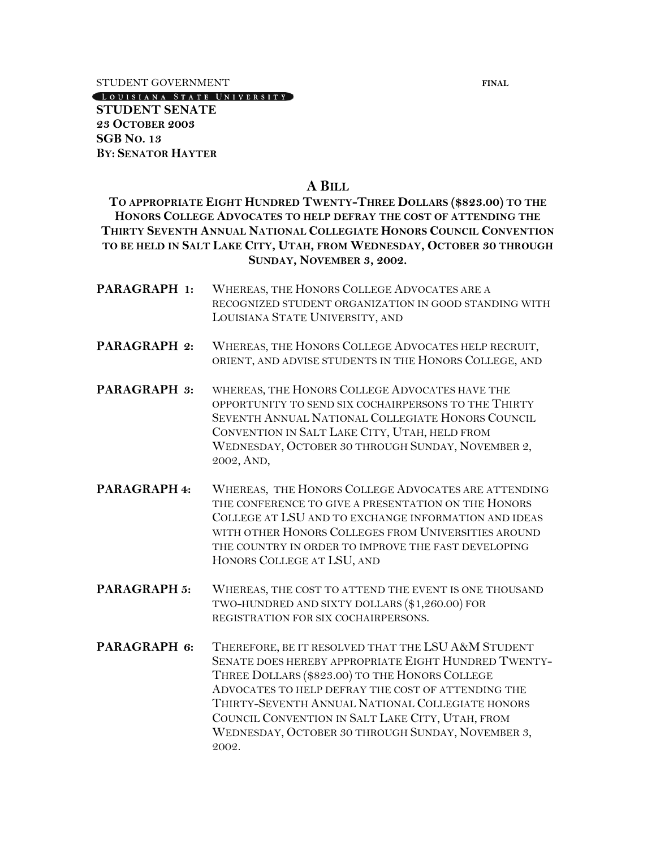STUDENT GOVERNMENT **FINAL** 

LOUISIANA STATE UNIVERSITY

**STUDENT SENATE 23 OCTOBER 2003 SGB NO. 13 BY: SENATOR HAYTER**

#### **A BILL**

**TO APPROPRIATE EIGHT HUNDRED TWENTY-THREE DOLLARS (\$823.00) TO THE HONORS COLLEGE ADVOCATES TO HELP DEFRAY THE COST OF ATTENDING THE THIRTY SEVENTH ANNUAL NATIONAL COLLEGIATE HONORS COUNCIL CONVENTION TO BE HELD IN SALT LAKE CITY, UTAH, FROM WEDNESDAY, OCTOBER 30 THROUGH SUNDAY, NOVEMBER 3, 2002.**

- **PARAGRAPH 1:** WHEREAS, THE HONORS COLLEGE ADVOCATES ARE A RECOGNIZED STUDENT ORGANIZATION IN GOOD STANDING WITH LOUISIANA STATE UNIVERSITY, AND
- **PARAGRAPH 2:** WHEREAS, THE HONORS COLLEGE ADVOCATES HELP RECRUIT, ORIENT, AND ADVISE STUDENTS IN THE HONORS COLLEGE, AND
- **PARAGRAPH 3:** WHEREAS, THE HONORS COLLEGE ADVOCATES HAVE THE OPPORTUNITY TO SEND SIX COCHAIRPERSONS TO THE THIRTY SEVENTH ANNUAL NATIONAL COLLEGIATE HONORS COUNCIL CONVENTION IN SALT LAKE CITY, UTAH, HELD FROM WEDNESDAY, OCTOBER 30 THROUGH SUNDAY, NOVEMBER 2, 2002, AND,
- **PARAGRAPH 4:** WHEREAS, THE HONORS COLLEGE ADVOCATES ARE ATTENDING THE CONFERENCE TO GIVE A PRESENTATION ON THE HONORS COLLEGE AT LSU AND TO EXCHANGE INFORMATION AND IDEAS WITH OTHER HONORS COLLEGES FROM UNIVERSITIES AROUND THE COUNTRY IN ORDER TO IMPROVE THE FAST DEVELOPING HONORS COLLEGE AT LSU, AND
- **PARAGRAPH 5:** WHEREAS, THE COST TO ATTEND THE EVENT IS ONE THOUSAND TWO-HUNDRED AND SIXTY DOLLARS (\$1,260.00) FOR REGISTRATION FOR SIX COCHAIRPERSONS.
- **PARAGRAPH 6:** THEREFORE, BE IT RESOLVED THAT THE LSU A&M STUDENT SENATE DOES HEREBY APPROPRIATE EIGHT HUNDRED TWENTY-THREE DOLLARS (\$823.00) TO THE HONORS COLLEGE ADVOCATES TO HELP DEFRAY THE COST OF ATTENDING THE THIRTY-SEVENTH ANNUAL NATIONAL COLLEGIATE HONORS COUNCIL CONVENTION IN SALT LAKE CITY, UTAH, FROM WEDNESDAY, OCTOBER 30 THROUGH SUNDAY, NOVEMBER 3, 2002.